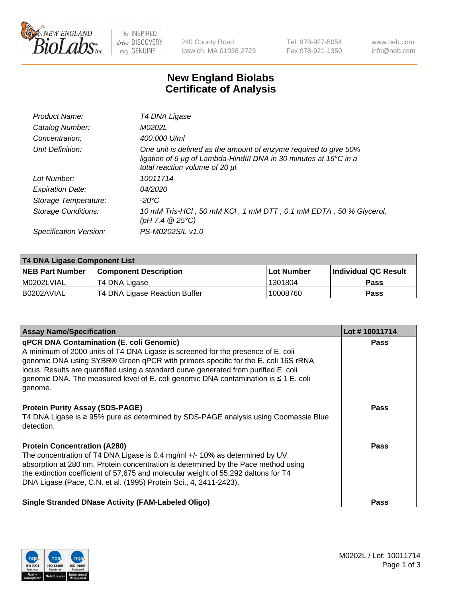

 $be$  INSPIRED drive DISCOVERY stay GENUINE

240 County Road Ipswich, MA 01938-2723 Tel 978-927-5054 Fax 978-921-1350 www.neb.com info@neb.com

## **New England Biolabs Certificate of Analysis**

| Product Name:           | T4 DNA Ligase                                                                                                                                                                           |
|-------------------------|-----------------------------------------------------------------------------------------------------------------------------------------------------------------------------------------|
| Catalog Number:         | M0202L                                                                                                                                                                                  |
| Concentration:          | 400,000 U/ml                                                                                                                                                                            |
| Unit Definition:        | One unit is defined as the amount of enzyme required to give 50%<br>ligation of 6 $\mu$ g of Lambda-HindIII DNA in 30 minutes at 16 $\degree$ C in a<br>total reaction volume of 20 µl. |
| Lot Number:             | 10011714                                                                                                                                                                                |
| <b>Expiration Date:</b> | 04/2020                                                                                                                                                                                 |
| Storage Temperature:    | -20°C                                                                                                                                                                                   |
| Storage Conditions:     | 10 mM Tris-HCl, 50 mM KCl, 1 mM DTT, 0.1 mM EDTA, 50 % Glycerol,<br>(pH 7.4 $@25°C$ )                                                                                                   |
| Specification Version:  | PS-M0202S/L v1.0                                                                                                                                                                        |

| T4 DNA Ligase Component List |                               |              |                             |  |
|------------------------------|-------------------------------|--------------|-----------------------------|--|
| <b>NEB Part Number</b>       | <b>Component Description</b>  | l Lot Number | <b>Individual QC Result</b> |  |
| M0202LVIAL                   | T4 DNA Ligase                 | 1301804      | <b>Pass</b>                 |  |
| I B0202AVIAL                 | T4 DNA Ligase Reaction Buffer | 10008760     | <b>Pass</b>                 |  |

| <b>Assay Name/Specification</b>                                                                                                                                                                                                                                                                                                                                                                                    | Lot #10011714 |
|--------------------------------------------------------------------------------------------------------------------------------------------------------------------------------------------------------------------------------------------------------------------------------------------------------------------------------------------------------------------------------------------------------------------|---------------|
| <b>qPCR DNA Contamination (E. coli Genomic)</b><br>A minimum of 2000 units of T4 DNA Ligase is screened for the presence of E. coli<br>genomic DNA using SYBR® Green qPCR with primers specific for the E. coli 16S rRNA<br>locus. Results are quantified using a standard curve generated from purified E. coli<br>genomic DNA. The measured level of E. coli genomic DNA contamination is ≤ 1 E. coli<br>genome. | <b>Pass</b>   |
| <b>Protein Purity Assay (SDS-PAGE)</b><br>T4 DNA Ligase is ≥ 95% pure as determined by SDS-PAGE analysis using Coomassie Blue<br>detection.                                                                                                                                                                                                                                                                        | Pass          |
| <b>Protein Concentration (A280)</b><br>The concentration of T4 DNA Ligase is 0.4 mg/ml +/- 10% as determined by UV<br>absorption at 280 nm. Protein concentration is determined by the Pace method using<br>the extinction coefficient of 57,675 and molecular weight of 55,292 daltons for T4<br>DNA Ligase (Pace, C.N. et al. (1995) Protein Sci., 4, 2411-2423).                                                | Pass          |
| <b>Single Stranded DNase Activity (FAM-Labeled Oligo)</b>                                                                                                                                                                                                                                                                                                                                                          | Pass          |

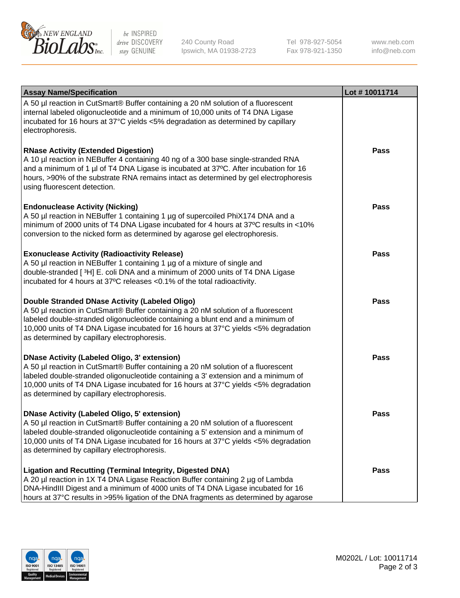

be INSPIRED drive DISCOVERY stay GENUINE

240 County Road Ipswich, MA 01938-2723 Tel 978-927-5054 Fax 978-921-1350 www.neb.com info@neb.com

| <b>Assay Name/Specification</b>                                                                                                                                                                                                                                                                                                                                      | Lot #10011714 |
|----------------------------------------------------------------------------------------------------------------------------------------------------------------------------------------------------------------------------------------------------------------------------------------------------------------------------------------------------------------------|---------------|
| A 50 µl reaction in CutSmart® Buffer containing a 20 nM solution of a fluorescent<br>internal labeled oligonucleotide and a minimum of 10,000 units of T4 DNA Ligase<br>incubated for 16 hours at 37°C yields <5% degradation as determined by capillary<br>electrophoresis.                                                                                         |               |
| <b>RNase Activity (Extended Digestion)</b><br>A 10 µl reaction in NEBuffer 4 containing 40 ng of a 300 base single-stranded RNA<br>and a minimum of 1 µl of T4 DNA Ligase is incubated at 37°C. After incubation for 16<br>hours, >90% of the substrate RNA remains intact as determined by gel electrophoresis<br>using fluorescent detection.                      | Pass          |
| <b>Endonuclease Activity (Nicking)</b><br>A 50 µl reaction in NEBuffer 1 containing 1 µg of supercoiled PhiX174 DNA and a<br>minimum of 2000 units of T4 DNA Ligase incubated for 4 hours at 37°C results in <10%<br>conversion to the nicked form as determined by agarose gel electrophoresis.                                                                     | <b>Pass</b>   |
| <b>Exonuclease Activity (Radioactivity Release)</b><br>A 50 µl reaction in NEBuffer 1 containing 1 µg of a mixture of single and<br>double-stranded [3H] E. coli DNA and a minimum of 2000 units of T4 DNA Ligase<br>incubated for 4 hours at 37°C releases <0.1% of the total radioactivity.                                                                        | <b>Pass</b>   |
| Double Stranded DNase Activity (Labeled Oligo)<br>A 50 µl reaction in CutSmart® Buffer containing a 20 nM solution of a fluorescent<br>labeled double-stranded oligonucleotide containing a blunt end and a minimum of<br>10,000 units of T4 DNA Ligase incubated for 16 hours at 37°C yields <5% degradation<br>as determined by capillary electrophoresis.         | <b>Pass</b>   |
| <b>DNase Activity (Labeled Oligo, 3' extension)</b><br>A 50 µl reaction in CutSmart® Buffer containing a 20 nM solution of a fluorescent<br>labeled double-stranded oligonucleotide containing a 3' extension and a minimum of<br>10,000 units of T4 DNA Ligase incubated for 16 hours at 37°C yields <5% degradation<br>as determined by capillary electrophoresis. | <b>Pass</b>   |
| <b>DNase Activity (Labeled Oligo, 5' extension)</b><br>A 50 µl reaction in CutSmart® Buffer containing a 20 nM solution of a fluorescent<br>labeled double-stranded oligonucleotide containing a 5' extension and a minimum of<br>10,000 units of T4 DNA Ligase incubated for 16 hours at 37°C yields <5% degradation<br>as determined by capillary electrophoresis. | Pass          |
| <b>Ligation and Recutting (Terminal Integrity, Digested DNA)</b><br>A 20 µl reaction in 1X T4 DNA Ligase Reaction Buffer containing 2 µg of Lambda<br>DNA-HindIII Digest and a minimum of 4000 units of T4 DNA Ligase incubated for 16<br>hours at 37°C results in >95% ligation of the DNA fragments as determined by agarose                                       | Pass          |